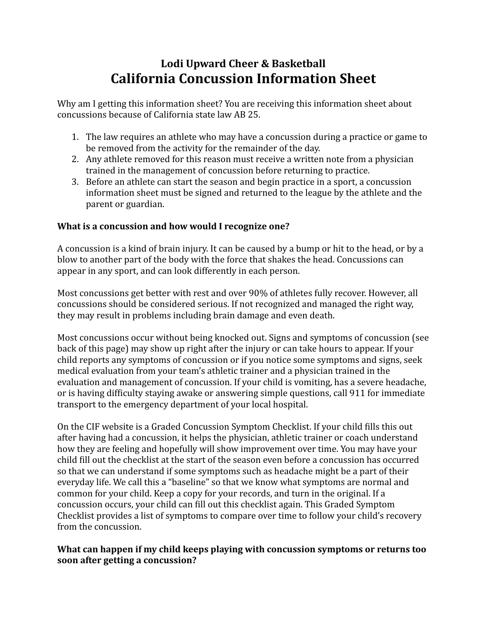# Lodi Upward Cheer & Basketball **California Concussion Information Sheet**

Why am I getting this information sheet? You are receiving this information sheet about concussions because of California state law AB 25. 

- 1. The law requires an athlete who may have a concussion during a practice or game to be removed from the activity for the remainder of the day.
- 2. Any athlete removed for this reason must receive a written note from a physician trained in the management of concussion before returning to practice.
- 3. Before an athlete can start the season and begin practice in a sport, a concussion information sheet must be signed and returned to the league by the athlete and the parent or guardian.

# **What is a concussion and how would I recognize one?**

A concussion is a kind of brain injury. It can be caused by a bump or hit to the head, or by a blow to another part of the body with the force that shakes the head. Concussions can appear in any sport, and can look differently in each person.

Most concussions get better with rest and over 90% of athletes fully recover. However, all concussions should be considered serious. If not recognized and managed the right way, they may result in problems including brain damage and even death.

Most concussions occur without being knocked out. Signs and symptoms of concussion (see back of this page) may show up right after the injury or can take hours to appear. If your child reports any symptoms of concussion or if you notice some symptoms and signs, seek medical evaluation from your team's athletic trainer and a physician trained in the evaluation and management of concussion. If your child is vomiting, has a severe headache, or is having difficulty staying awake or answering simple questions, call 911 for immediate transport to the emergency department of your local hospital.

On the CIF website is a Graded Concussion Symptom Checklist. If your child fills this out after having had a concussion, it helps the physician, athletic trainer or coach understand how they are feeling and hopefully will show improvement over time. You may have your child fill out the checklist at the start of the season even before a concussion has occurred so that we can understand if some symptoms such as headache might be a part of their everyday life. We call this a "baseline" so that we know what symptoms are normal and common for your child. Keep a copy for your records, and turn in the original. If a concussion occurs, your child can fill out this checklist again. This Graded Symptom Checklist provides a list of symptoms to compare over time to follow your child's recovery from the concussion.

## What can happen if my child keeps playing with concussion symptoms or returns too **soon after getting a concussion?**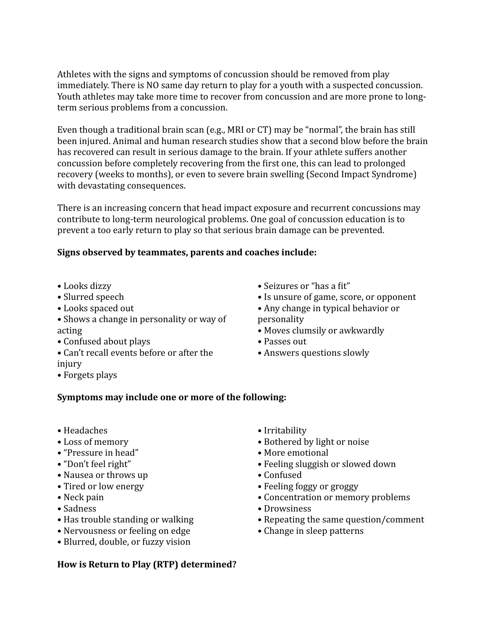Athletes with the signs and symptoms of concussion should be removed from play immediately. There is NO same day return to play for a youth with a suspected concussion. Youth athletes may take more time to recover from concussion and are more prone to longterm serious problems from a concussion.

Even though a traditional brain scan (e.g., MRI or CT) may be "normal", the brain has still been injured. Animal and human research studies show that a second blow before the brain has recovered can result in serious damage to the brain. If your athlete suffers another concussion before completely recovering from the first one, this can lead to prolonged recovery (weeks to months), or even to severe brain swelling (Second Impact Syndrome) with devastating consequences.

There is an increasing concern that head impact exposure and recurrent concussions may contribute to long-term neurological problems. One goal of concussion education is to prevent a too early return to play so that serious brain damage can be prevented.

## Signs observed by teammates, parents and coaches include:

- Looks dizzy
- Slurred speech
- Looks spaced out
- Shows a change in personality or way of acting
- Confused about plays
- Can't recall events before or after the injury
- Forgets plays
- Seizures or "has a fit"
- Is unsure of game, score, or opponent
- Any change in typical behavior or personality
- Moves clumsily or awkwardly
- Passes out
- Answers questions slowly

#### Symptoms may include one or more of the following:

- Headaches
- Loss of memory
- "Pressure in head"
- "Don't feel right"
- Nausea or throws up
- Tired or low energy
- Neck pain
- • Sadness
- Has trouble standing or walking
- Nervousness or feeling on edge
- Blurred, double, or fuzzy vision

#### • Irritability

- Bothered by light or noise
- More emotional
- Feeling sluggish or slowed down
- Confused
- Feeling foggy or groggy
- Concentration or memory problems
- Drowsiness
- Repeating the same question/comment
- Change in sleep patterns
- How is Return to Play (RTP) determined?